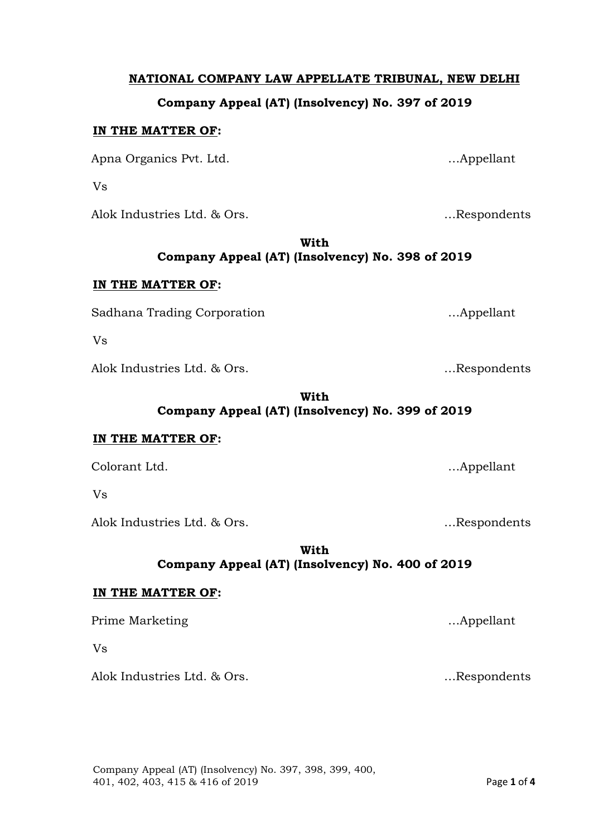## **NATIONAL COMPANY LAW APPELLATE TRIBUNAL, NEW DELHI**

## **Company Appeal (AT) (Insolvency) No. 397 of 2019**

### **IN THE MATTER OF:**

Apna Organics Pvt. Ltd. 2008. 2010. Appellant

Vs

Alok Industries Ltd. & Ors. …Respondents

**With Company Appeal (AT) (Insolvency) No. 398 of 2019**

### **IN THE MATTER OF:**

Sadhana Trading Corporation methods and methods in the set of the set of the set of the set of the set of the set of the set of the set of the set of the set of the set of the set of the set of the set of the set of the se

Vs

Alok Industries Ltd. & Ors. 2008. End and Manuscriptus Alok Industries Ltd. & Ors.

**With Company Appeal (AT) (Insolvency) No. 399 of 2019**

## **IN THE MATTER OF:**

Colorant Ltd. …Appellant

Vs

Alok Industries Ltd. & Ors. 2008. Encodents and the subset of the second services in the second service of the  $\sim$  Respondents

**With Company Appeal (AT) (Insolvency) No. 400 of 2019**

# **IN THE MATTER OF:**

Prime Marketing methods are expected to the matter of the matter of the matter of the matter of the matter of the matter of the matter of the matter of the matter of the matter of the matter of the matter of the matter of

Vs

Alok Industries Ltd. & Ors. The Contract of the Muslim extension of the Muslim extension of the Muslim extending of the Muslim extending of the Muslim extending of the Muslim extending of the Muslim extending of the Muslim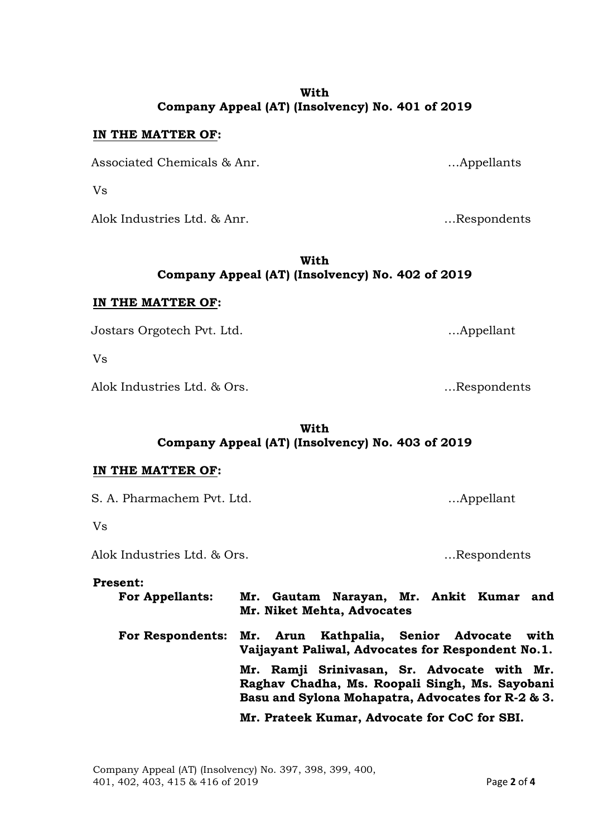### **With Company Appeal (AT) (Insolvency) No. 401 of 2019**

## **IN THE MATTER OF:**

Associated Chemicals & Anr. …Appellants

Vs

Alok Industries Ltd. & Anr. …Respondents

**With Company Appeal (AT) (Insolvency) No. 402 of 2019**

#### **IN THE MATTER OF:**

Jostars Orgotech Pvt. Ltd. …Appellant

Vs

Alok Industries Ltd. & Ors. https://www.alok.com/industries.com/industries.com/industries.com/industries.com/i

**With Company Appeal (AT) (Insolvency) No. 403 of 2019**

#### **IN THE MATTER OF:**

S. A. Pharmachem Pvt. Ltd. **Example 2018** ... Appellant

Vs

Alok Industries Ltd. & Ors. https://www.alok.com/industries.com/industries.com/industries.com/industries.com/i

#### **Present:**

| <b>For Appellants:</b>                               | Mr. Gautam Narayan, Mr. Ankit Kumar and<br>Mr. Niket Mehta, Advocates                                                                              |  |  |  |      |
|------------------------------------------------------|----------------------------------------------------------------------------------------------------------------------------------------------------|--|--|--|------|
| For Respondents: Mr. Arun Kathpalia, Senior Advocate | Vaijayant Paliwal, Advocates for Respondent No.1.                                                                                                  |  |  |  | with |
|                                                      | Mr. Ramji Srinivasan, Sr. Advocate with Mr.<br>Raghav Chadha, Ms. Roopali Singh, Ms. Sayobani<br>Basu and Sylona Mohapatra, Advocates for R-2 & 3. |  |  |  |      |
|                                                      | Mr. Prateek Kumar, Advocate for CoC for SBI.                                                                                                       |  |  |  |      |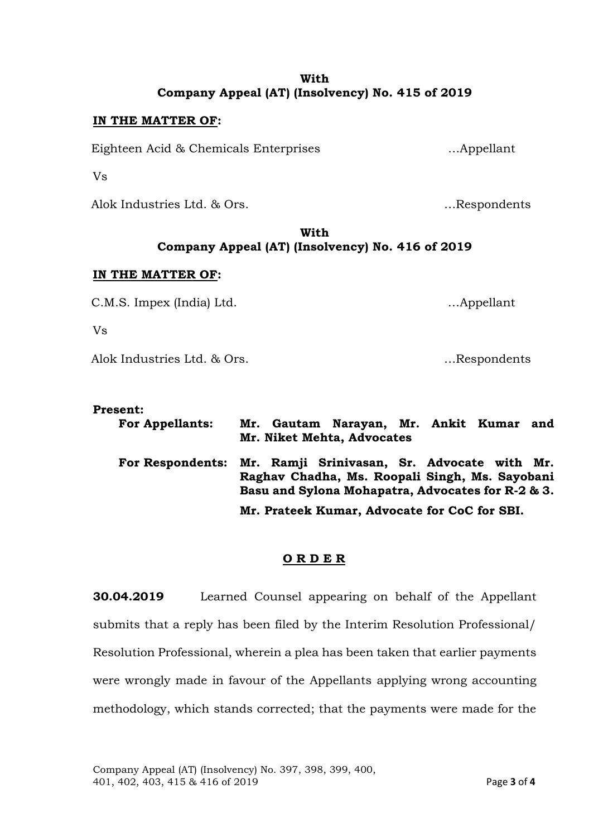## **With Company Appeal (AT) (Insolvency) No. 415 of 2019**

## **IN THE MATTER OF:**

Eighteen Acid & Chemicals Enterprises …Appellant

Vs

Alok Industries Ltd. & Ors. …Respondents

## **With Company Appeal (AT) (Insolvency) No. 416 of 2019**

## **IN THE MATTER OF:**

C.M.S. Impex (India) Ltd. …Appellant

Vs

Alok Industries Ltd. & Ors. …Respondents

### **Present:**

| <b>For Appellants:</b> | Mr. Gautam Narayan, Mr. Ankit Kumar and<br>Mr. Niket Mehta, Advocates                                                                                               |  |  |  |  |
|------------------------|---------------------------------------------------------------------------------------------------------------------------------------------------------------------|--|--|--|--|
|                        | For Respondents: Mr. Ramji Srinivasan, Sr. Advocate with Mr.<br>Raghav Chadha, Ms. Roopali Singh, Ms. Sayobani<br>Basu and Sylona Mohapatra, Advocates for R-2 & 3. |  |  |  |  |
|                        | Mr. Prateek Kumar, Advocate for CoC for SBI.                                                                                                                        |  |  |  |  |

## **O R D E R**

**30.04.2019** Learned Counsel appearing on behalf of the Appellant submits that a reply has been filed by the Interim Resolution Professional/ Resolution Professional, wherein a plea has been taken that earlier payments were wrongly made in favour of the Appellants applying wrong accounting methodology, which stands corrected; that the payments were made for the